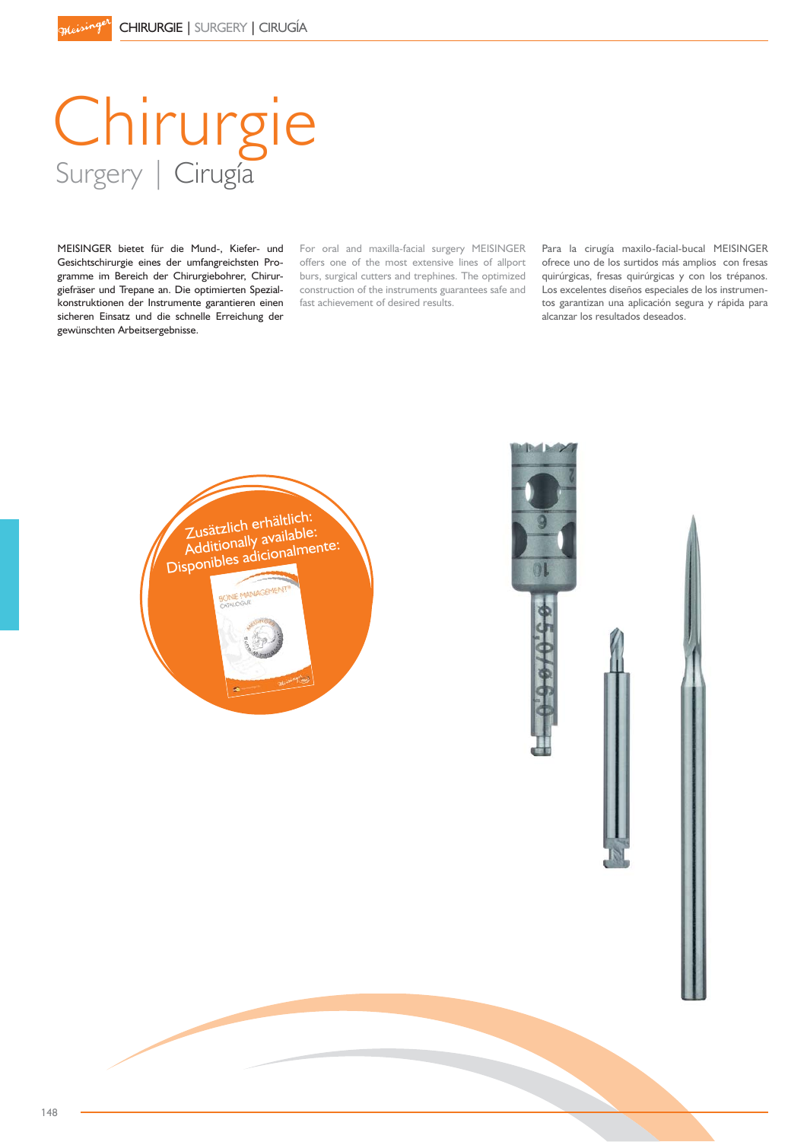# Chirurgie Surgery | Cirugía

MEISINGER bietet für die Mund-, Kiefer- und Gesichtschirurgie eines der umfangreichsten Programme im Bereich der Chirurgiebohrer, Chirurgiefräser und Trepane an. Die optimierten Spezialkonstruktionen der Instrumente garantieren einen sicheren Einsatz und die schnelle Erreichung der gewünschten Arbeitsergebnisse.

For oral and maxilla-facial surgery MEISINGER offers one of the most extensive lines of allport burs, surgical cutters and trephines. The optimized construction of the instruments guarantees safe and fast achievement of desired results.

Para la cirugía maxilo-facial-bucal MEISINGER ofrece uno de los surtidos más amplios con fresas quirúrgicas, fresas quirúrgicas y con los trépanos. Los excelentes diseños especiales de los instrumentos garantizan una aplicación segura y rápida para alcanzar los resultados deseados.



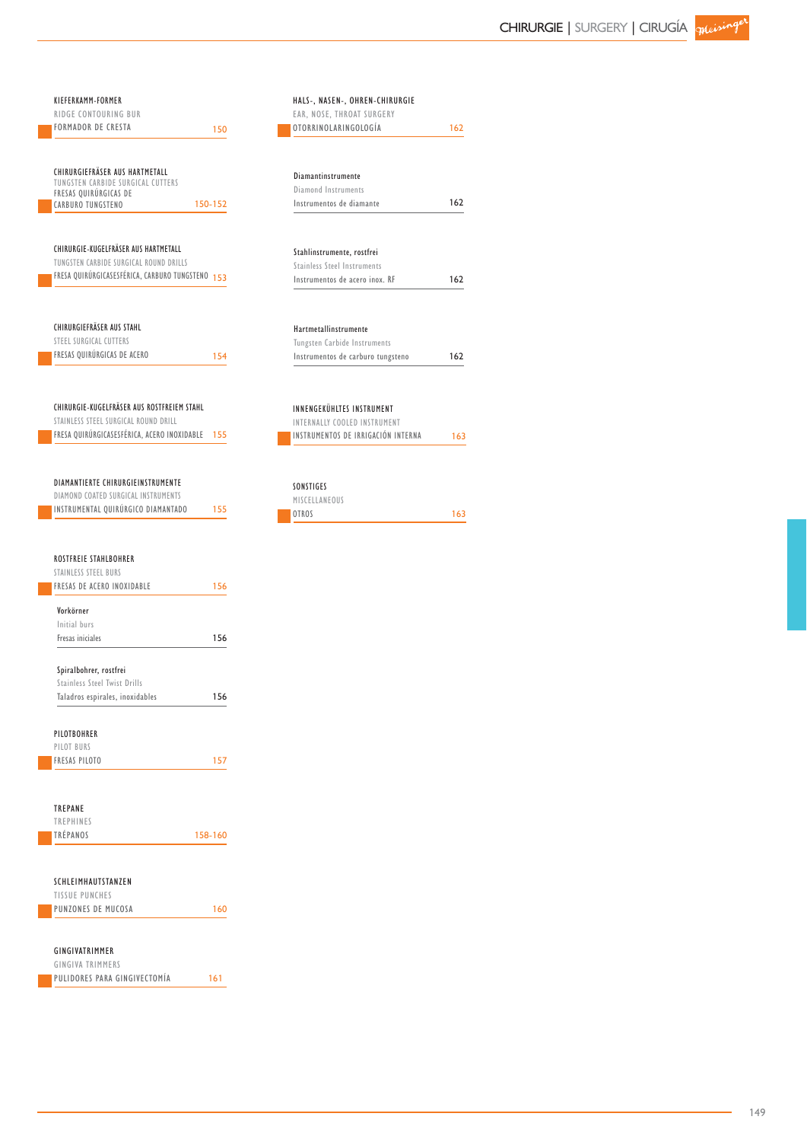| KIEFERKAMM-FORMER<br>RIDGE CONTOURING BUR                                 |         | HALS-, NASEN-, OHREN-CHIRURGIE<br>EAR, NOSE, THROAT SURGERY |     |
|---------------------------------------------------------------------------|---------|-------------------------------------------------------------|-----|
| <b>FORMADOR DE CRESTA</b>                                                 | 150     | OTORRINOLARINGOLOGÍA                                        | 162 |
|                                                                           |         |                                                             |     |
| CHIRURGIEFRÄSER AUS HARTMETALL                                            |         | Diamantinstrumente                                          |     |
| TUNGSTEN CARBIDE SURGICAL CUTTERS                                         |         | Diamond Instruments                                         |     |
| FRESAS QUIRÚRGICAS DE<br>CARBURO TUNGSTENO                                | 150-152 | Instrumentos de diamante                                    | 162 |
|                                                                           |         |                                                             |     |
| CHIRURGIE-KUGELFRÄSER AUS HARTMETALL                                      |         | Stahlinstrumente, rostfrei                                  |     |
| TUNGSTEN CARBIDE SURGICAL ROUND DRILLS                                    |         | <b>Stainless Steel Instruments</b>                          |     |
| FRESA QUIRÚRGICASESFÉRICA, CARBURO TUNGSTENO 153                          |         | Instrumentos de acero inox. RF                              | 162 |
|                                                                           |         |                                                             |     |
| CHIRURGIEFRÄSER AUS STAHL                                                 |         | Hartmetallinstrumente                                       |     |
| STEEL SURGICAL CUTTERS<br>FRESAS QUIRÚRGICAS DE ACERO                     |         | Tungsten Carbide Instruments                                |     |
|                                                                           | 154     | Instrumentos de carburo tungsteno                           | 162 |
| CHIRURGIE-KUGELFRÄSER AUS ROSTFREIEM STAHL                                |         |                                                             |     |
| STAINLESS STEEL SURGICAL ROUND DRILL                                      |         | INNENGEKÜHLTES INSTRUMENT<br>INTERNALLY COOLED INSTRUMENT   |     |
| FRESA QUIRÚRGICASESFÉRICA, ACERO INOXIDABLE                               | 155     | INSTRUMENTOS DE IRRIGACIÓN INTERNA                          | 163 |
| <b>DIAMANTIERTE CHIRURGIEINSTRUMENTE</b>                                  |         | SONSTIGES                                                   |     |
|                                                                           |         |                                                             |     |
| DIAMOND COATED SURGICAL INSTRUMENTS<br>INSTRUMENTAL QUIRÚRGICO DIAMANTADO | 155     | MISCELLANEOUS<br><b>OTROS</b>                               | 163 |
| <b>ROSTFREIE STAHLBOHRER</b>                                              |         |                                                             |     |
| STAINLESS STEEL BURS                                                      |         |                                                             |     |
| <b>FRESAS DE ACERO INOXIDABLE</b>                                         | 156     |                                                             |     |
| Vorkörner<br>Initial burs                                                 |         |                                                             |     |
| Fresas iniciales                                                          | 156     |                                                             |     |
| Spiralbohrer, rostfrei                                                    |         |                                                             |     |
| <b>Stainless Steel Twist Drills</b>                                       |         |                                                             |     |
| Taladros espirales, inoxidables                                           | 156     |                                                             |     |
| <b>PILOTBOHRER</b>                                                        |         |                                                             |     |
|                                                                           |         |                                                             |     |
| PILOT BURS<br><b>FRESAS PILOTO</b>                                        | 157     |                                                             |     |
| TREPANE                                                                   |         |                                                             |     |
| <b>TREPHINES</b>                                                          |         |                                                             |     |
| <b>TRÉPANOS</b>                                                           | 158-160 |                                                             |     |
|                                                                           |         |                                                             |     |
| SCHLEIMHAUTSTANZEN                                                        |         |                                                             |     |
| TISSUE PUNCHES<br>PUNZONES DE MUCOSA                                      | 160     |                                                             |     |

Г

GINGIVA TRIMMERS **PULIDORES PARA GINGIVECTOMÍA** 161

۰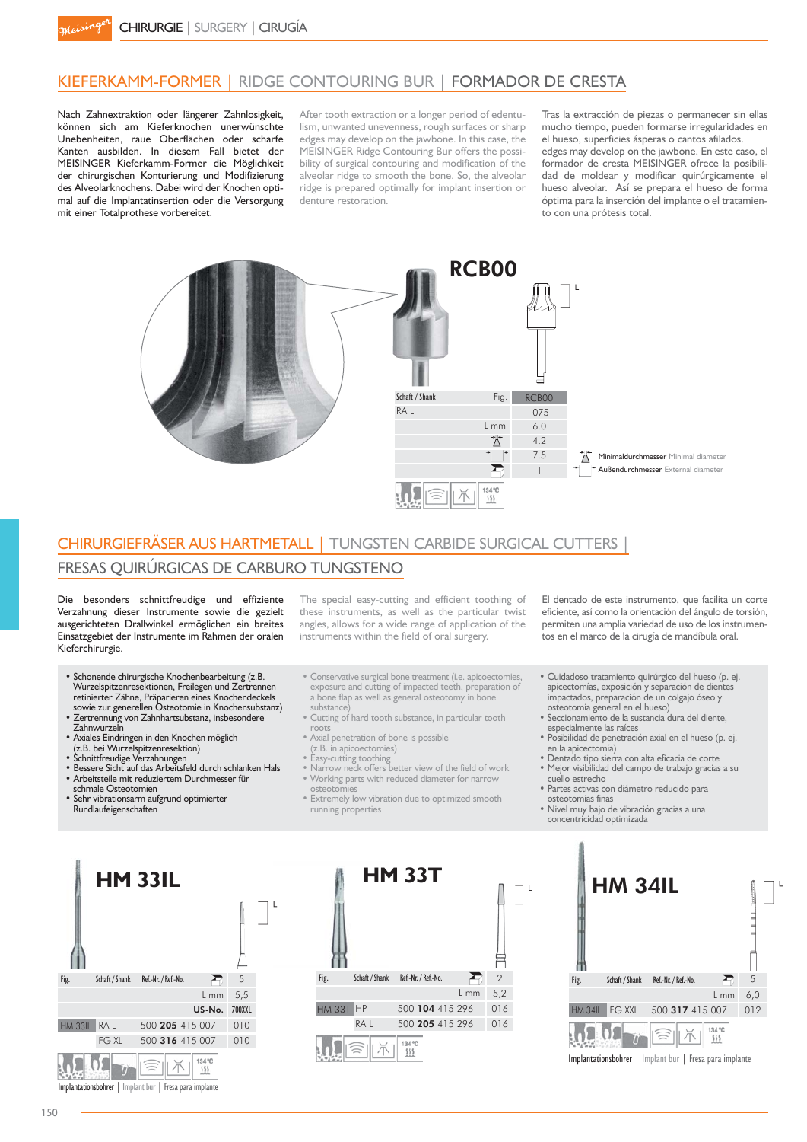## KIEFERKAMM-FORMER | RIDGE CONTOURING BUR | FORMADOR DE CRESTA

Nach Zahnextraktion oder längerer Zahnlosigkeit, können sich am Kieferknochen unerwünschte Unebenheiten, raue Oberflächen oder scharfe Kanten ausbilden. In diesem Fall bietet der MEISINGER Kieferkamm-Former die Möglichkeit der chirurgischen Konturierung und Modifizierung des Alveolarknochens. Dabei wird der Knochen optimal auf die Implantatinsertion oder die Versorgung mit einer Totalprothese vorbereitet.

After tooth extraction or a longer period of edentulism, unwanted unevenness, rough surfaces or sharp edges may develop on the jawbone. In this case, the MEISINGER Ridge Contouring Bur offers the possibility of surgical contouring and modification of the alveolar ridge to smooth the bone. So, the alveolar ridge is prepared optimally for implant insertion or denture restoration.

Tras la extracción de piezas o permanecer sin ellas mucho tiempo, pueden formarse irregularidades en el hueso, superficies ásperas o cantos afilados. edges may develop on the jawbone. En este caso, el formador de cresta MEISINGER ofrece la posibilidad de moldear y modificar quirúrgicamente el hueso alveolar. Así se prepara el hueso de forma óptima para la inserción del implante o el tratamiento con una prótesis total.



# CHIRURGIEFRÄSER AUS HARTMETALL | TUNGSTEN CARBIDE SURGICAL CUTTERS |

### FRESAS QUIRÚRGICAS DE CARBURO TUNGSTENO

Die besonders schnittfreudige und effiziente Verzahnung dieser Instrumente sowie die gezielt ausgerichteten Drallwinkel ermöglichen ein breites Einsatzgebiet der Instrumente im Rahmen der oralen Kieferchirurgie.

- Schonende chirurgische Knochenbearbeitung (z.B. Wurzelspitzenresektionen, Freilegen und Zertrennen retinierter Zähne, Präparieren eines Knochendeckels sowie zur generellen Osteotomie in Knochensubstanz) • Zertrennung von Zahnhartsubstanz, insbesondere
- Zahnwurzeln • Axiales Eindringen in den Knochen möglich
- 
- (z.B. bei Wurzelspitzenresektion)<br>• Schnittfreudige Verzahnungen
- Bessere Sicht auf das Arbeitsfeld durch schlanken Hals
- Arbeitsteile mit reduziertem Durchmesser für schmale Osteotomien
- Sehr vibrationsarm aufgrund optimierter Rundlaufeigenschaften
- The special easy-cutting and efficient toothing of these instruments, as well as the particular twist angles, allows for a wide range of application of the instruments within the field of oral surgery.
- Conservative surgical bone treatment (i.e. apicoectomies, exposure and cutting of impacted teeth, preparation of a bone flap as well as general osteotomy in bone substance)
- Cutting of hard tooth substance, in particular tooth roots
- . Axial penetration of bone is possible
	- (z.B. in apicoectomies)
- Easy-cutting toothing<br>• Narrow neck offers better view of the field of work · Working parts with reduced diameter for narrow
- osteotomies • Extremely low vibration due to optimized smooth
- running properties
- El dentado de este instrumento, que facilita un corte eficiente, así como la orientación del ángulo de torsión, permiten una amplia variedad de uso de los instrumentos en el marco de la cirugía de mandíbula oral.
- · Cuidadoso tratamiento quirúrgico del hueso (p. ej. apicectomías, exposición y separación de dientes impactados, preparación de un colgajo óseo y osteotomía general en el hueso)
- Seccionamiento de la sustancia dura del diente,<br>especialmente las raíces
- Posibilidad de penetración axial en el hueso (p. ej. en la apicectomía)<br>• Dentado tipo sierra con alta eficacia de corte
- Mejor visibilidad del campo de trabajo gracias a su cuello estrecho
- Partes activas con diámetro reducido para osteotomías finas
- Nivel muy bajo de vibración gracias a una<br>concentricidad optimizada







Implantationsbohrer | Implant bur | Fresa para implante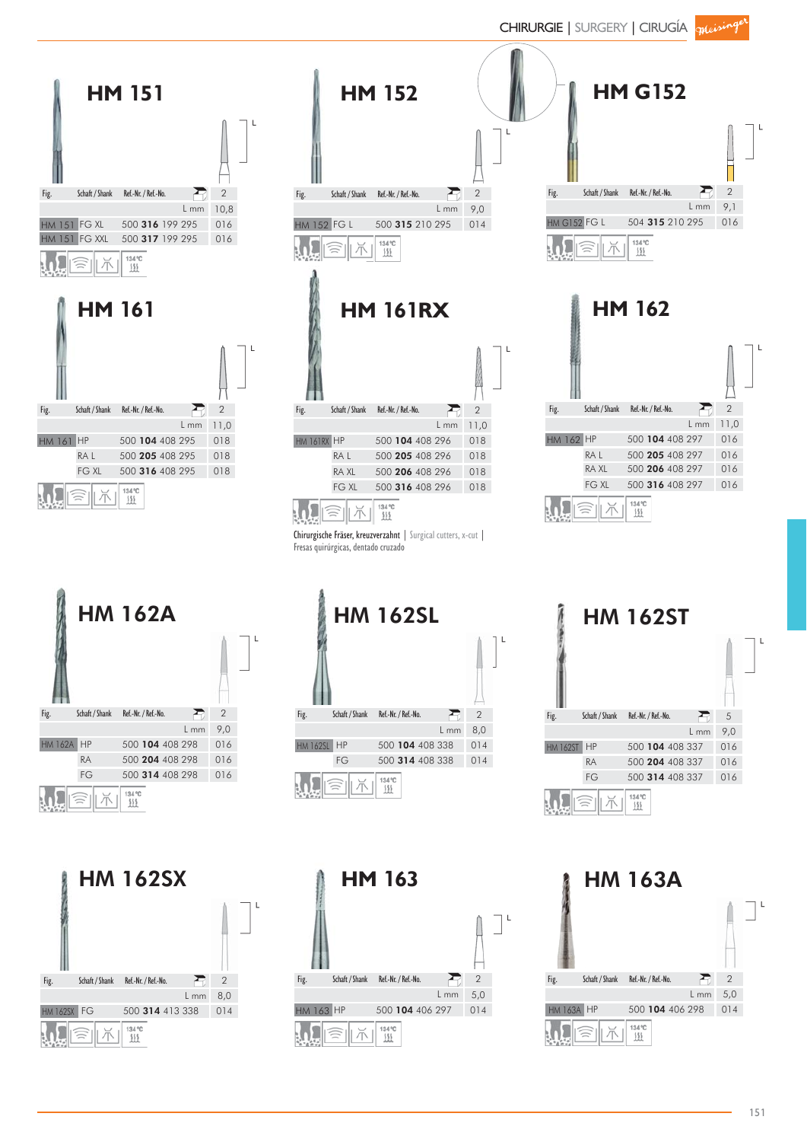



CHIRURGIE | SURGERY | CIRUGÍA *queisinge* 



HM 163A ŢΕ Fig. Schaft / Shank Ref.-Nr. / Ref.-No.  $\sum_{i=1}^{n}$ 2 . L mm 5,0 HM 163A HP 500 104 406 298 014 134 °C<br>111 Ж

FG 500 314 408 338 014

2 . L mm 8,0

 $\sum$ 

L mm 9,0

E

L mm 11,0

Ð

2

2

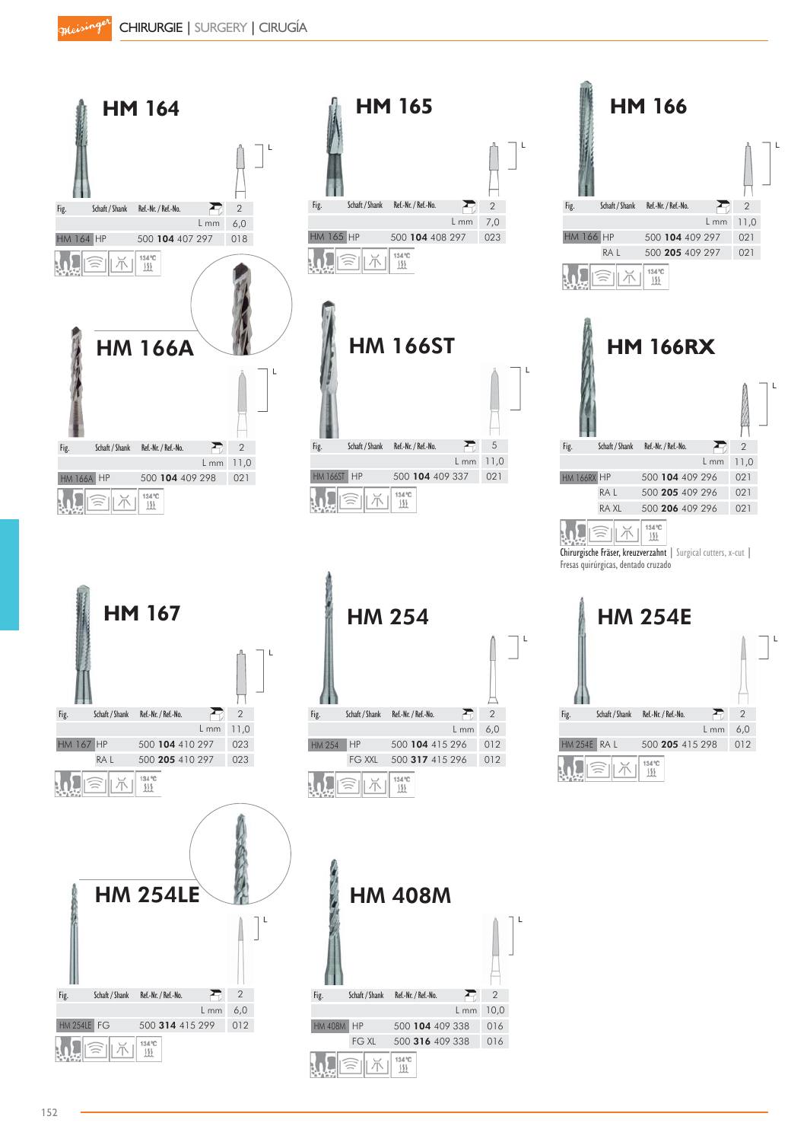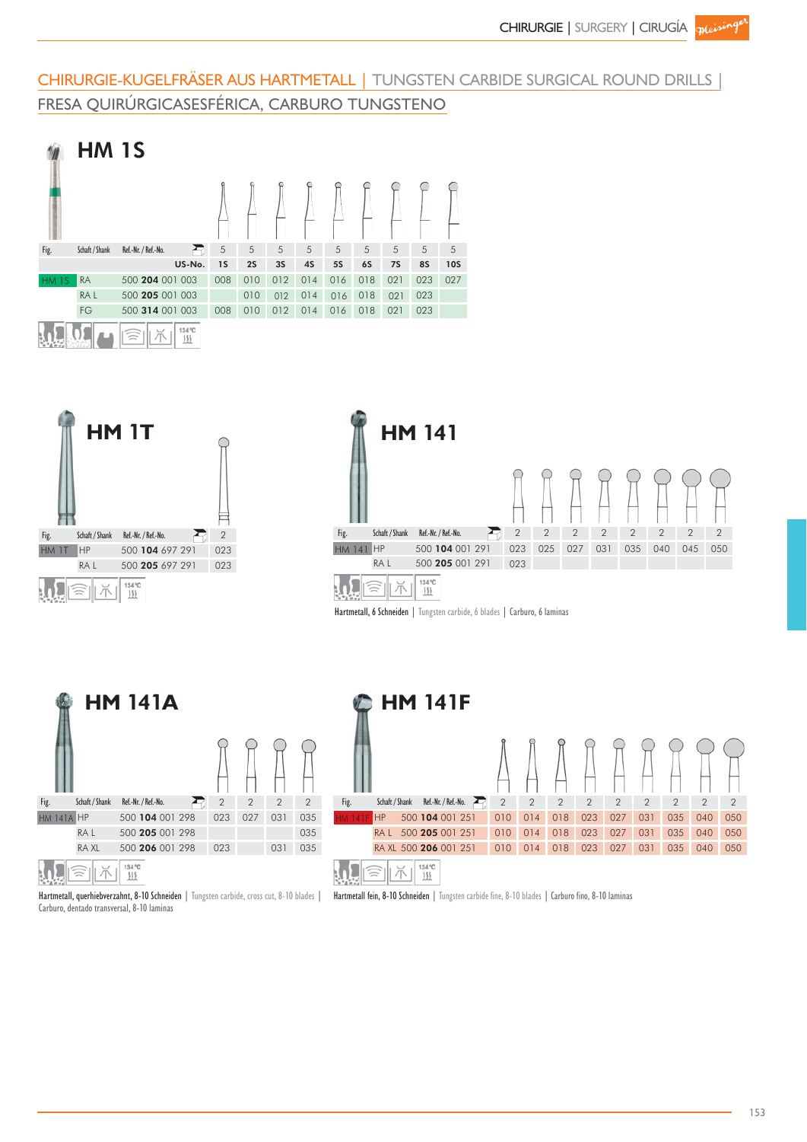# CHIRURGIE-KUGELFRÄSER AUS HARTMETALL | TUNGSTEN CARBIDE SURGICAL ROUND DRILLS | FRESA QUIRÚRGICASESFÉRICA, CARBURO TUNGSTENO









Carburo, dentado transversal, 8-10 laminas



Hartmetall, querhiebverzahnt, 8-10 Schneiden | Tungsten carbide, cross cut, 8-10 blades | Hartmetall fein, 8-10 Schneiden | Tungsten carbide fine, 8-10 blades | Carburo fino, 8-10 laminas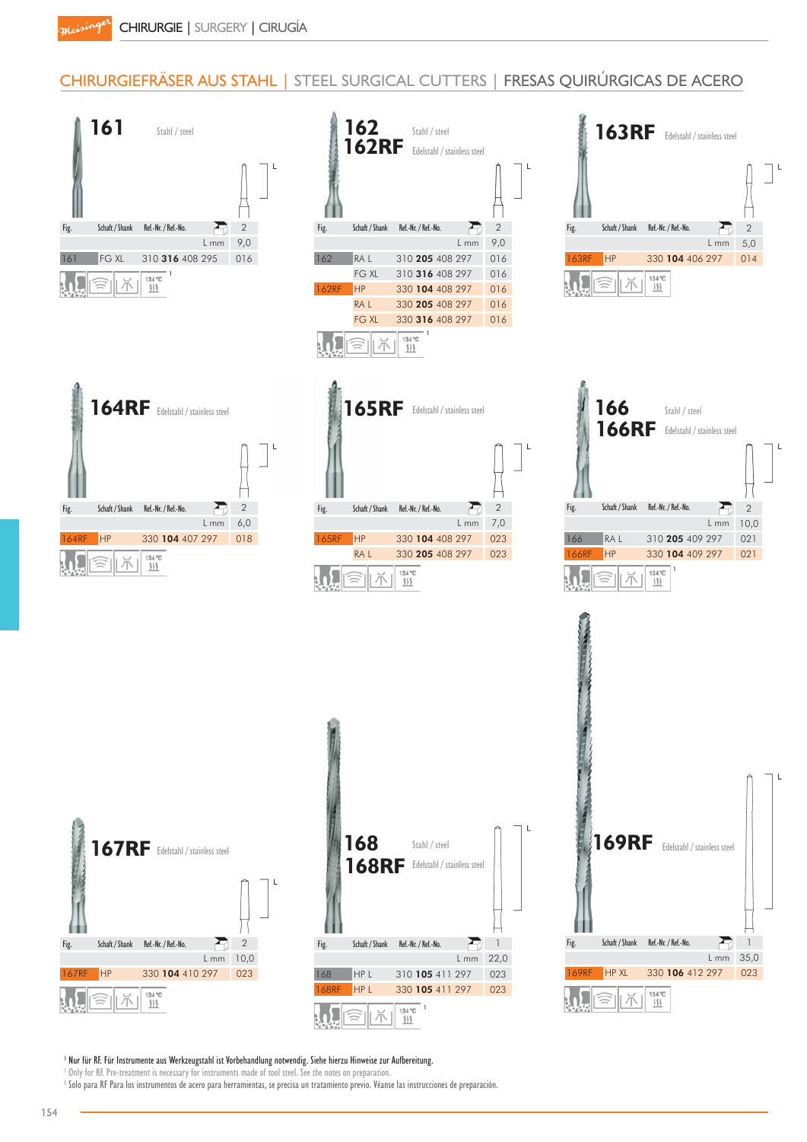# CHIRURGIEFRÄSER AUS STAHL | STEEL SURGICAL CUTTERS | FRESAS QUIRÚRGICAS DE ACERO



<sup>1</sup> Nur für RF. Für Instrumente aus Werkzeugstahl ist Vorbehandlung notwendig. Siehe hierzu Hinweise zur Aufbereitung.

<sup>1</sup> Only for RF. Pre-treatment is necessary for instruments made of tool steel. See the notes on preparation.

<sup>1</sup> Solo para RF Para los instrumentos de acero para herramientas, se precisa un tratamiento previo. Véanse las instrucciones de preparación.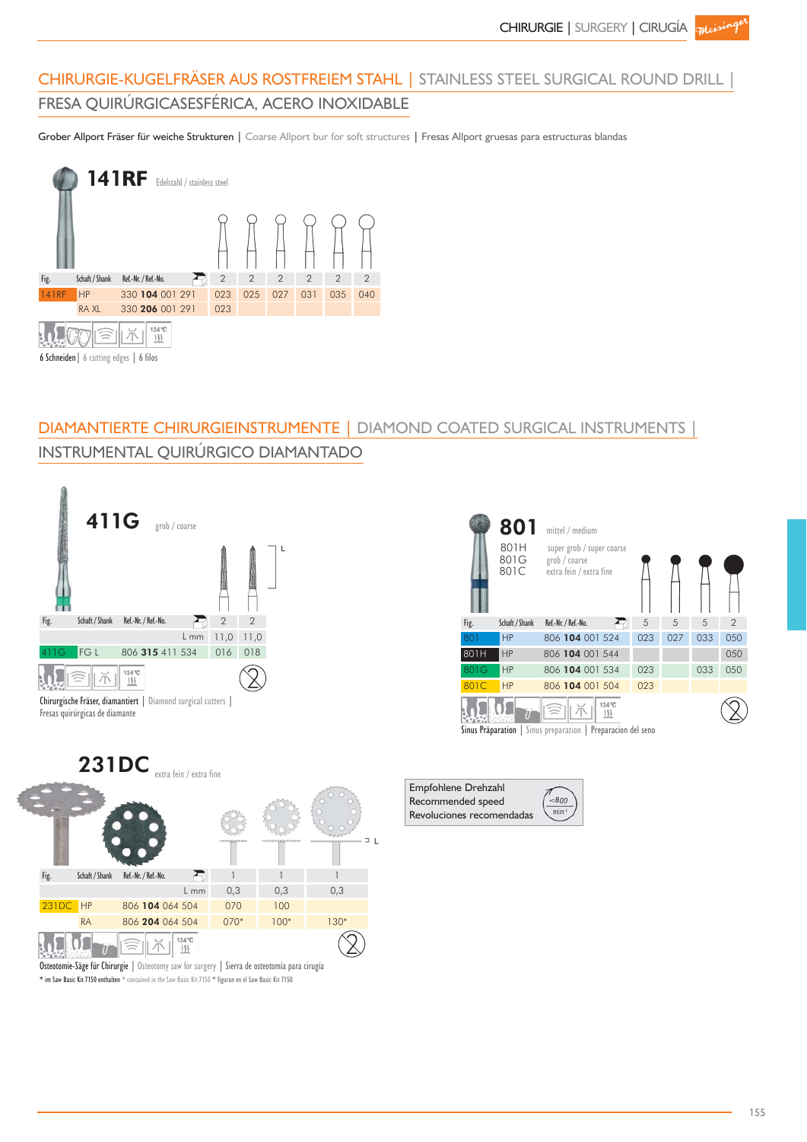# CHIRURGIE-KUGELFRÄSER AUS ROSTFREIEM STAHL | STAINLESS STEEL SURGICAL ROUND DRILL | FRESA QUIRÚRGICASESFÉRICA, ACERO INOXIDABLE

Grober Allport Fräser für weiche Strukturen | Coarse Allport bur for soft structures | Fresas Allport gruesas para estructuras blandas



# DIAMANTIERTE CHIRURGIEINSTRUMENTE | DIAMOND COATED SURGICAL INSTRUMENTS INSTRUMENTAL QUIRÚRGICO DIAMANTADO





Sinus Präparation | Sinus preparation | Preparacion del seno





\* im Saw Basic Kit 7150 enthalten \* contained in the Saw Basic Kit 7150 \* figuran en el Saw Basic Kit 7150 Osteotomie-Säge für Chirurgie | Osteotomy saw for surgery | Sierra de osteotomía para cirugía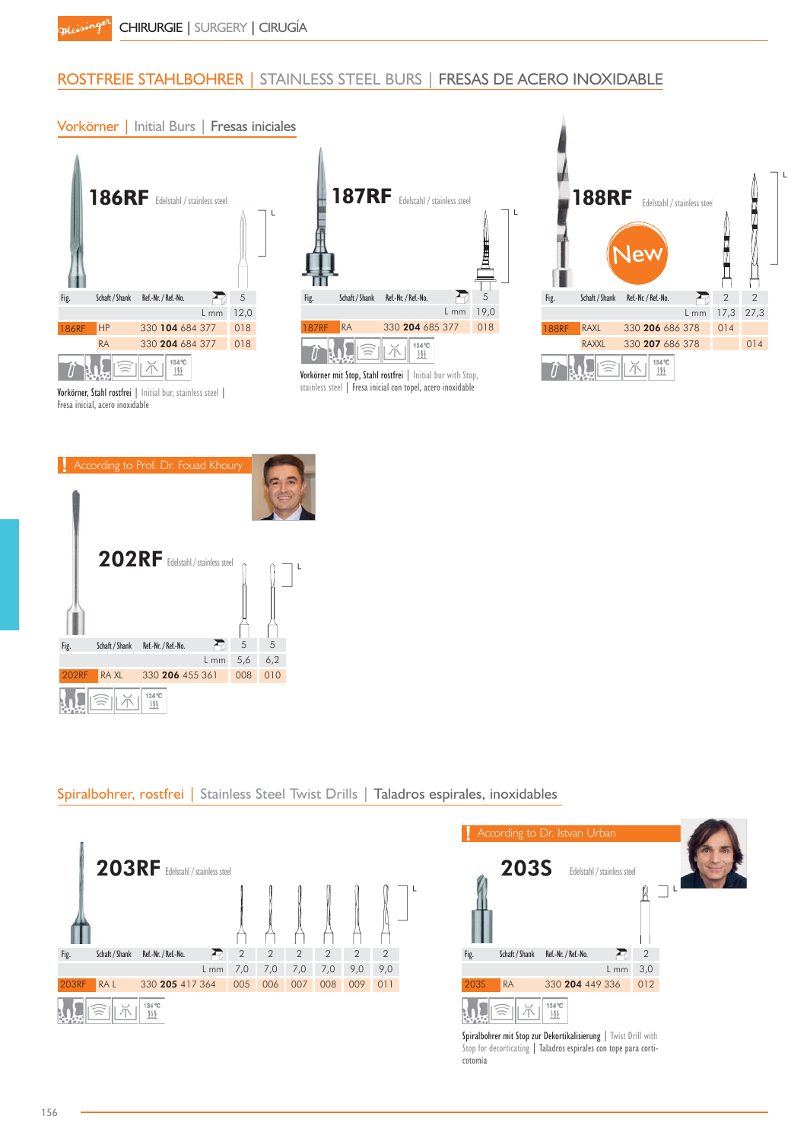# ROSTFREIE STAHLBOHRER | STAINLESS STEEL BURS | FRESAS DE ACERO INOXIDABLE

#### Vorkörner | Initial Burs | Fresas iniciales



Vorkörner, Stahl rostfrei | Initial bur, stainless steel | Fresa inicial, acero inoxidable



Vorkörner mit Stop, Stahl rostfrei | Initial bur with Stop, stainless steel | Fresa inicial con topel, acero inoxidable





Spiralbohrer, rostfrei | Stainless Steel Twist Drills | Taladros espirales, inoxidables





Stop for decorticating | Taladros espirales con tope para corticotomía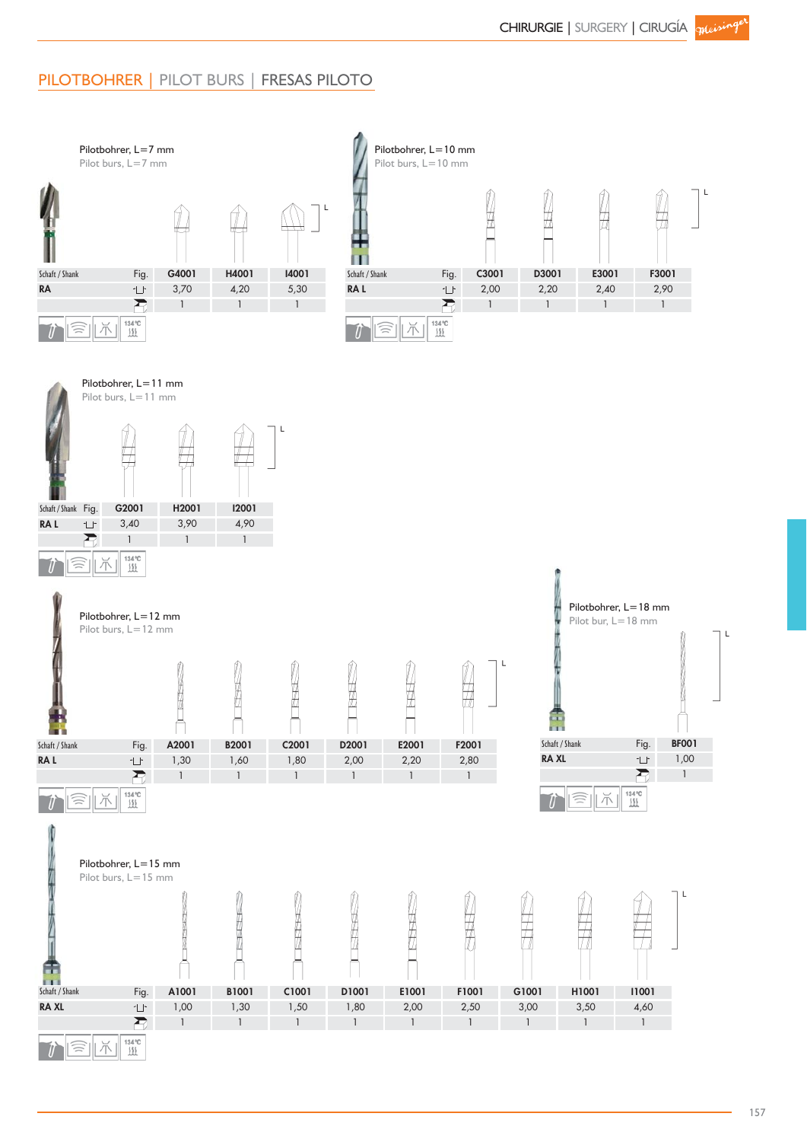# PILOTBOHRER | PILOT BURS | FRESAS PILOTO

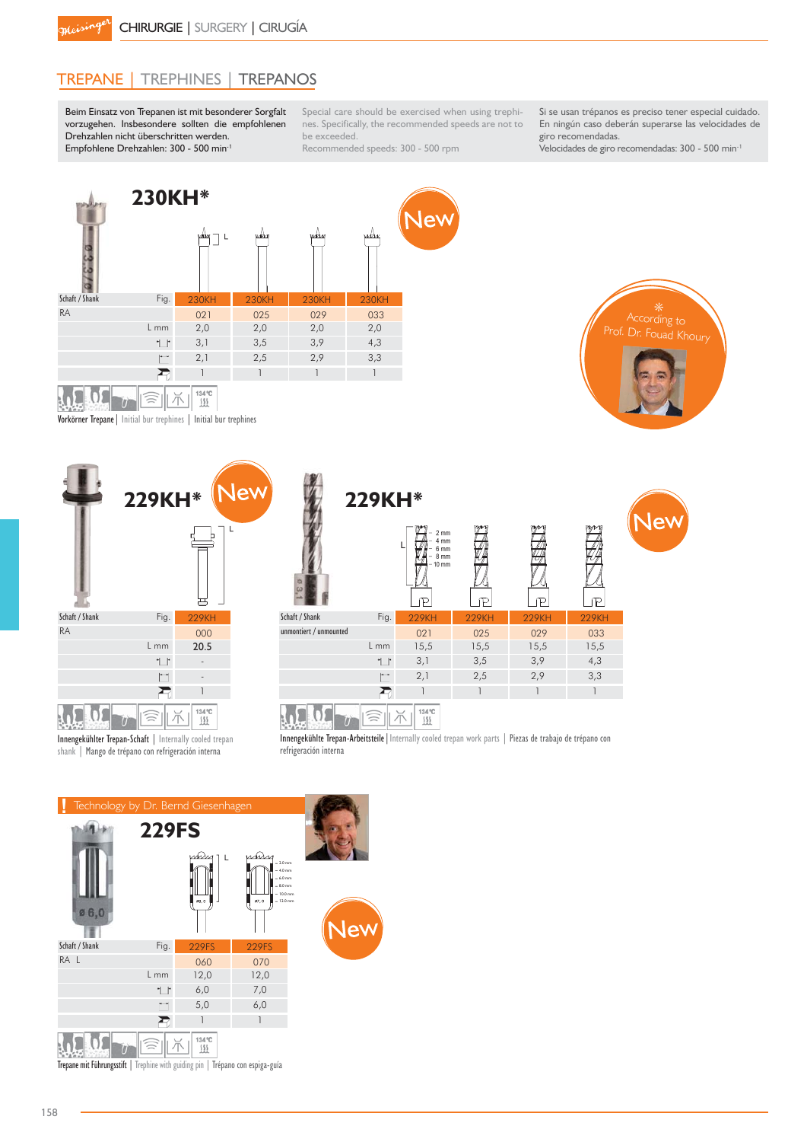# TREPANE | TREPHINES | TREPANOS

Beim Einsatz von Trepanen ist mit besonderer Sorgfalt vorzugehen. Insbesondere sollten die empfohlenen Drehzahlen nicht überschritten werden. Empfohlene Drehzahlen: 300 - 500 min-1

Special care should be exercised when using trephines. Specifically, the recommended speeds are not to be exceeded.

Recommended speeds: 300 - 500 rpm

Si se usan trépanos es preciso tener especial cuidado. En ningún caso deberán superarse las velocidades de giro recomendadas.

> According to \*Dr. Fouad Khoury

Velocidades de giro recomendadas: 300 - 500 min-1



Vorkörner Trepane| Initial bur trephines | Initial bur trephines



shank | Mango de trépano con refrigeración interna

|                | 229KH*                   |                              | <b>New</b>             | 229KH*       |                                                                               |               |              |              |  |  |  |
|----------------|--------------------------|------------------------------|------------------------|--------------|-------------------------------------------------------------------------------|---------------|--------------|--------------|--|--|--|
|                |                          |                              | ┶                      |              | $2 \, \text{mm}$<br>4 mm<br>6 mm<br>8 mm<br>$-10$ mm<br>$\pi$<br>$\mathbb{P}$ | $\mathcal{P}$ | P            | mm<br>ഘ      |  |  |  |
| Schaft / Shank | Fig.                     | <b>229KH</b>                 | Schaft / Shank         | Fig.         | <b>229KH</b>                                                                  | <b>229KH</b>  | <b>229KH</b> | <b>229KH</b> |  |  |  |
| <b>RA</b>      |                          | 000                          | unmontiert / unmounted |              | 021                                                                           | 025           | 029          | 033          |  |  |  |
|                | L mm                     | 20.5                         |                        | L mm         | 15,5                                                                          | 15,5          | 15,5         | 15,5         |  |  |  |
|                | $^{\dagger}$             | $\overline{\phantom{a}}$     |                        | $^{\dagger}$ | 3,1                                                                           | 3,5           | 3,9          | 4,3          |  |  |  |
|                | $\overline{\phantom{a}}$ | $\qquad \qquad \blacksquare$ |                        | $\vdash$     | 2,1                                                                           | 2,5           | 2,9          | 3,3          |  |  |  |
|                |                          |                              |                        |              |                                                                               |               |              |              |  |  |  |
|                |                          | 134 °C                       |                        |              | 134 °C<br>555                                                                 |               |              |              |  |  |  |

 $3.445$   $3.449$   $0$   $0$  $\frac{1}{2}$   $\frac{1}{2}$   $\frac{1}{2}$   $\frac{1}{2}$   $\frac{1}{2}$   $\frac{1}{2}$   $\frac{1}{2}$   $\frac{1}{2}$   $\frac{1}{2}$   $\frac{1}{2}$   $\frac{1}{2}$   $\frac{1}{2}$   $\frac{1}{2}$   $\frac{1}{2}$   $\frac{1}{2}$   $\frac{1}{2}$   $\frac{1}{2}$   $\frac{1}{2}$   $\frac{1}{2}$   $\frac{1}{2}$   $\frac{1}{2}$   $\frac{1}{2}$ 

Innengekühlte Trepan-Arbeitsteile|Internally cooled trepan work parts | Piezas de trabajo de trépano con refrigeración interna

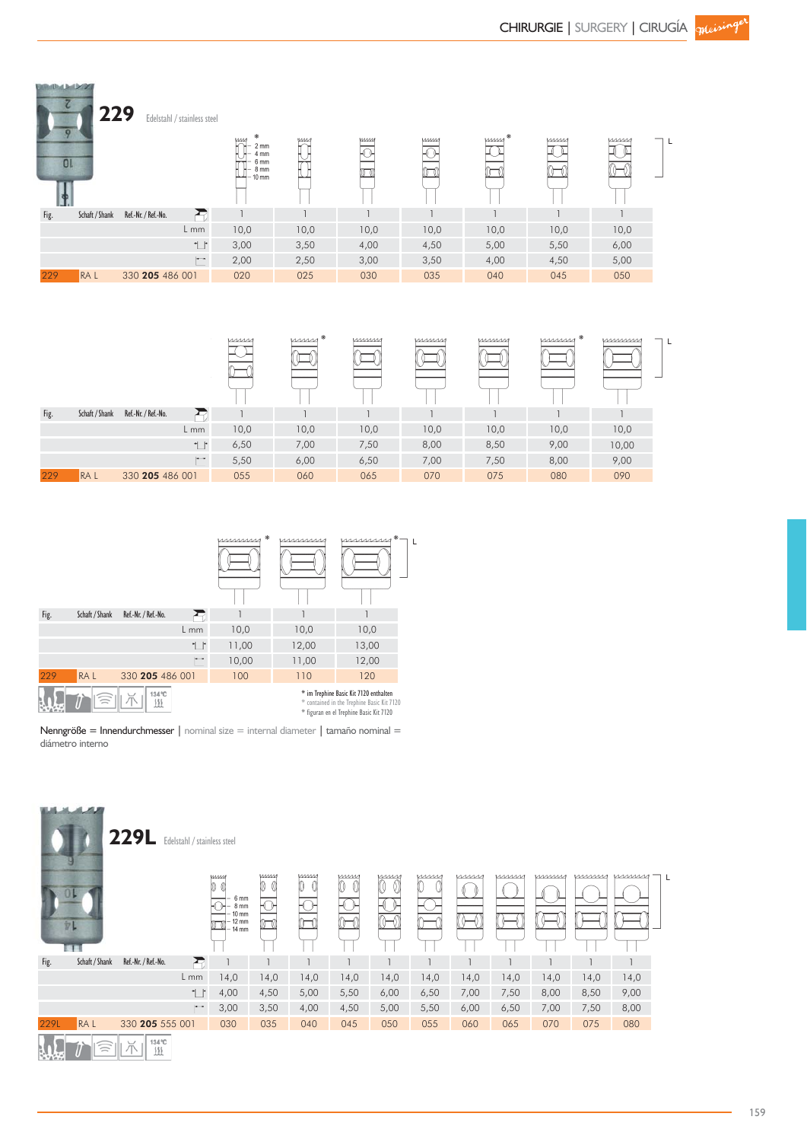| 0 <sub>l</sub> | 229            | Edelstahl / stainless steel | ⋇<br><b>MM</b><br>$2 \, \text{mm}$<br>4 mm<br>6 <sub>mm</sub><br>8 mm<br>- 10 mm | <b>WM</b> | иим  | <b>MMM</b><br>⊦∩⊦<br>. (T | $\mu$ | mm   | mm   |  |
|----------------|----------------|-----------------------------|----------------------------------------------------------------------------------|-----------|------|---------------------------|-------|------|------|--|
| Fig.           | Schaft / Shank | Ð<br>Ref.-Nr. / Ref.-No.    |                                                                                  |           |      |                           |       |      |      |  |
|                |                | L mm                        | 10,0                                                                             | 10,0      | 10,0 | 10,0                      | 10,0  | 10,0 | 10,0 |  |
|                |                | $\mathbb{L}^*$              | 3,00                                                                             | 3,50      | 4,00 | 4,50                      | 5,00  | 5,50 | 6,00 |  |
|                |                | $\overline{\phantom{a}}$    | 2,00                                                                             | 2,50      | 3,00 | 3,50                      | 4,00  | 4,50 | 5,00 |  |
| 229            | RA L           | 330 205 486 001             | 020                                                                              | 025       | 030  | 035                       | 040   | 045  | 050  |  |

|      |                |                     |                | mm   | $\mu$ | mmm  | mmm  | mmm  | mmm <sup>*</sup> | mmmm  |  |
|------|----------------|---------------------|----------------|------|-------|------|------|------|------------------|-------|--|
| Fig. | Schaft / Shank | Ref.-Nr. / Ref.-No. |                |      |       |      |      |      |                  |       |  |
|      |                |                     | L mm           | 10,0 | 10,0  | 10,0 | 10,0 | 10,0 | 10,0             | 10,0  |  |
|      |                |                     | $\mathbb{L}^*$ | 6,50 | 7,00  | 7,50 | 8,00 | 8,50 | 9,00             | 10,00 |  |
|      |                |                     | $\Box$         | 5,50 | 6,00  | 6,50 | 7,00 | 7,50 | 8,00             | 9,00  |  |
| 229  | <b>RAL</b>     | 330 205 486 001     |                | 055  | 060   | 065  | 070  | 075  | 080              | 090   |  |



**BRIDGE MAY** 

Nenngröße = Innendurchmesser | nominal size = internal diameter | tamaño nominal = diámetro interno

|      | مصدد           | <b>229L</b>         | Edelstahl / stainless steel |                                                                            |            |      |            |                      |      |      |      |      |      |                |  |
|------|----------------|---------------------|-----------------------------|----------------------------------------------------------------------------|------------|------|------------|----------------------|------|------|------|------|------|----------------|--|
|      | 儿<br>EП        |                     |                             | <b>WWW</b><br>10 O<br>6 mm<br>8 mm<br>10 mm<br>$12 \text{ mm}$<br>$-14$ mm | <b>WWW</b> | umn  | <b>VMM</b> | <i>umm</i><br>0<br>0 | mm   | mm   | mm   | mmm  | mmm  | <u>William</u> |  |
| Fig. | Schaft / Shank | Ref.-Nr. / Ref.-No. | Ð                           |                                                                            |            |      |            |                      |      |      |      |      |      |                |  |
|      |                |                     | $L$ mm                      | 14,0                                                                       | 14,0       | 14,0 | 14,0       | 14,0                 | 14,0 | 14,0 | 14,0 | 14,0 | 14,0 | 14,0           |  |
|      |                |                     | $\mathbb{L}^*$              | 4,00                                                                       | 4,50       | 5,00 | 5,50       | 6,00                 | 6,50 | 7,00 | 7,50 | 8,00 | 8,50 | 9,00           |  |
|      |                |                     | $\mathbf{r}$                | 3,00                                                                       | 3,50       | 4,00 | 4,50       | 5,00                 | 5,50 | 6,00 | 6,50 | 7,00 | 7,50 | 8,00           |  |
| 229L | <b>RAL</b>     | 330 205 555 001     |                             | 030                                                                        | 035        | 040  | 045        | 050                  | 055  | 060  | 065  | 070  | 075  | 080            |  |
|      | $\equiv$       | $\smile$            | 134 °C<br>逛                 |                                                                            |            |      |            |                      |      |      |      |      |      |                |  |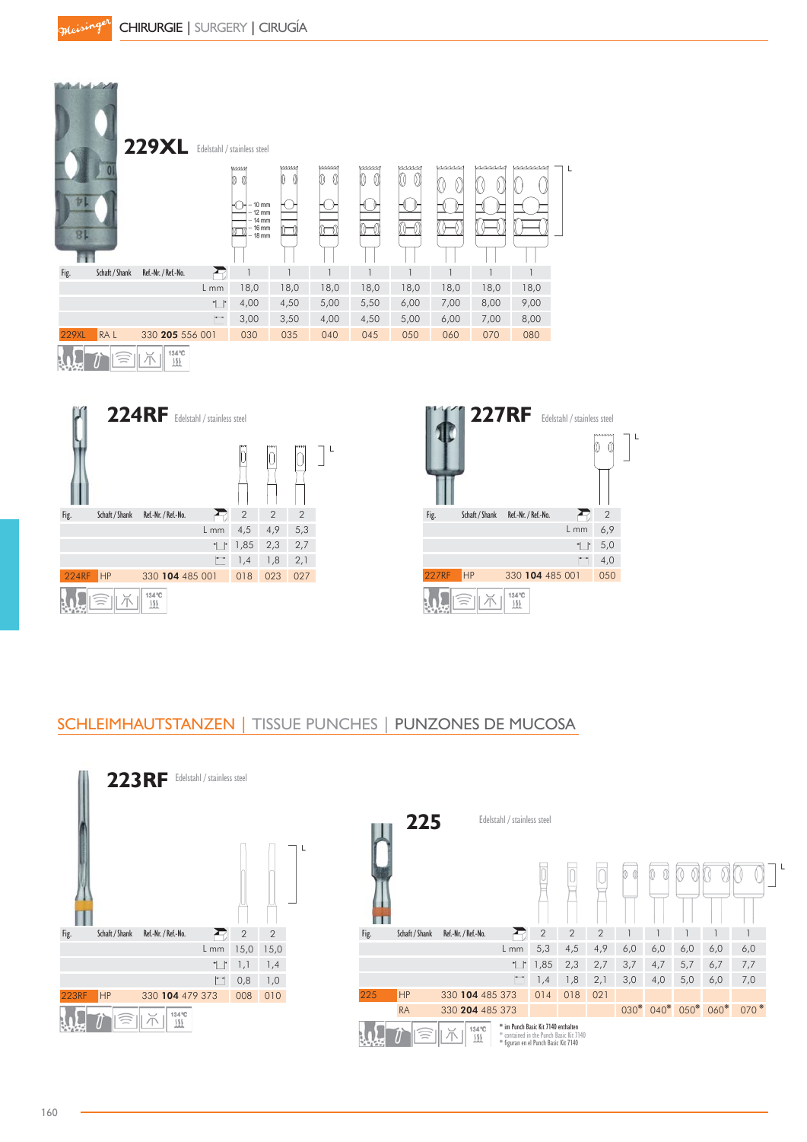





# SCHLEIMHAUTSTANZEN | TISSUE PUNCHES | PUNZONES DE MUCOSA

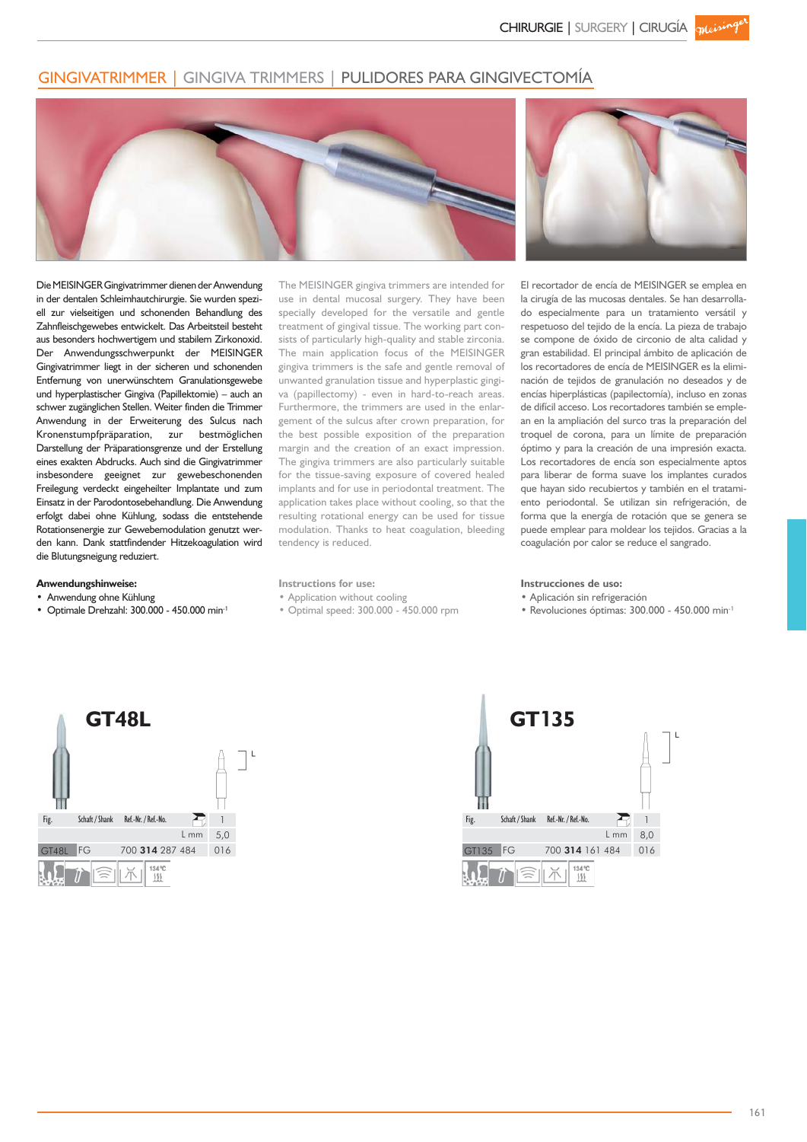## GINGIVATRIMMER | GINGIVA TRIMMERS | PULIDORES PARA GINGIVECTOMÍA



Die MEISINGER Gingivatrimmer dienen der Anwendung in der dentalen Schleimhautchirurgie. Sie wurden speziell zur vielseitigen und schonenden Behandlung des Zahnfleischgewebes entwickelt. Das Arbeitsteil besteht aus besonders hochwertigem und stabilem Zirkonoxid. Der Anwendungsschwerpunkt der MEISINGER Gingivatrimmer liegt in der sicheren und schonenden Entfernung von unerwünschtem Granulationsgewebe und hyperplastischer Gingiva (Papillektomie) – auch an schwer zugänglichen Stellen. Weiter finden die Trimmer Anwendung in der Erweiterung des Sulcus nach Kronenstumpfpräparation, zur bestmöglichen Darstellung der Präparationsgrenze und der Erstellung eines exakten Abdrucks. Auch sind die Gingivatrimmer insbesondere geeignet zur gewebeschonenden Freilegung verdeckt eingeheilter Implantate und zum Einsatz in der Parodontosebehandlung. Die Anwendung erfolgt dabei ohne Kühlung, sodass die entstehende Rotationsenergie zur Gewebemodulation genutzt werden kann. Dank stattfindender Hitzekoagulation wird die Blutungsneigung reduziert.

The MEISINGER gingiva trimmers are intended for use in dental mucosal surgery. They have been specially developed for the versatile and gentle treatment of gingival tissue. The working part consists of particularly high-quality and stable zirconia. The main application focus of the MEISINGER gingiva trimmers is the safe and gentle removal of unwanted granulation tissue and hyperplastic gingiva (papillectomy) - even in hard-to-reach areas. Furthermore, the trimmers are used in the enlargement of the sulcus after crown preparation, for the best possible exposition of the preparation margin and the creation of an exact impression. The gingiva trimmers are also particularly suitable for the tissue-saving exposure of covered healed implants and for use in periodontal treatment. The application takes place without cooling, so that the resulting rotational energy can be used for tissue modulation. Thanks to heat coagulation, bleeding tendency is reduced.



El recortador de encía de MEISINGER se emplea en la cirugía de las mucosas dentales. Se han desarrollado especialmente para un tratamiento versátil y respetuoso del tejido de la encía. La pieza de trabajo se compone de óxido de circonio de alta calidad y gran estabilidad. El principal ámbito de aplicación de los recortadores de encía de MEISINGER es la eliminación de tejidos de granulación no deseados y de encías hiperplásticas (papilectomía), incluso en zonas de difícil acceso. Los recortadores también se emplean en la ampliación del surco tras la preparación del troquel de corona, para un límite de preparación óptimo y para la creación de una impresión exacta. Los recortadores de encía son especialmente aptos para liberar de forma suave los implantes curados que hayan sido recubiertos y también en el tratamiento periodontal. Se utilizan sin refrigeración, de forma que la energía de rotación que se genera se puede emplear para moldear los tejidos. Gracias a la coagulación por calor se reduce el sangrado.

#### **Anwendungshinweise:**

- . Anwendung ohne Kühlung
- Optimale Drehzahl:  $300.000 450.000$  min<sup>-1</sup>

#### **Instructions for use:**

. Application without cooling

• Optimal speed: 300.000 - 450.000 rpm

#### **Instrucciones de uso:**

- · Aplicación sin refrigeración
- Revoluciones óptimas: 300.000 450.000 min<sup>-1</sup>



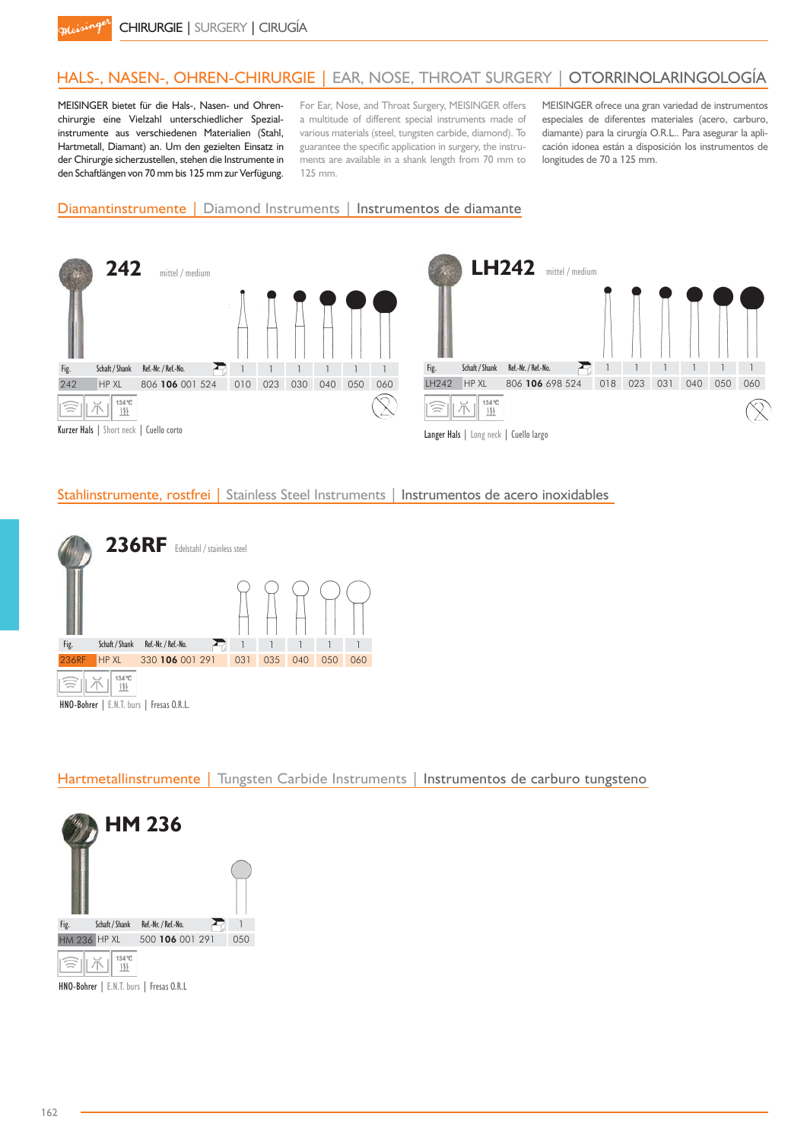# HALS-, NASEN-, OHREN-CHIRURGIE | EAR, NOSE, THROAT SURGERY | OTORRINOLARINGOLOGÍA

MEISINGER bietet für die Hals-, Nasen- und Ohrenchirurgie eine Vielzahl unterschiedlicher Spezialinstrumente aus verschiedenen Materialien (Stahl, Hartmetall, Diamant) an. Um den gezielten Einsatz in der Chirurgie sicherzustellen, stehen die Instrumente in den Schaftlängen von 70 mm bis 125 mm zur Verfügung.

For Ear, Nose, and Throat Surgery, MEISINGER offers a multitude of different special instruments made of various materials (steel, tungsten carbide, diamond). To guarantee the specific application in surgery, the instruments are available in a shank length from 70 mm to 125 mm.

MEISINGER ofrece una gran variedad de instrumentos especiales de diferentes materiales (acero, carburo, diamante) para la cirurgía O.R.L.. Para asegurar la aplicación idonea están a disposición los instrumentos de longitudes de 70 a 125 mm.

#### Diamantinstrumente | Diamond Instruments | Instrumentos de diamante



#### Stahlinstrumente, rostfrei | Stainless Steel Instruments | Instrumentos de acero inoxidables



Hartmetallinstrumente | Tungsten Carbide Instruments | Instrumentos de carburo tungsteno



HNO-Bohrer | E.N.T. burs | Fresas O.R.L